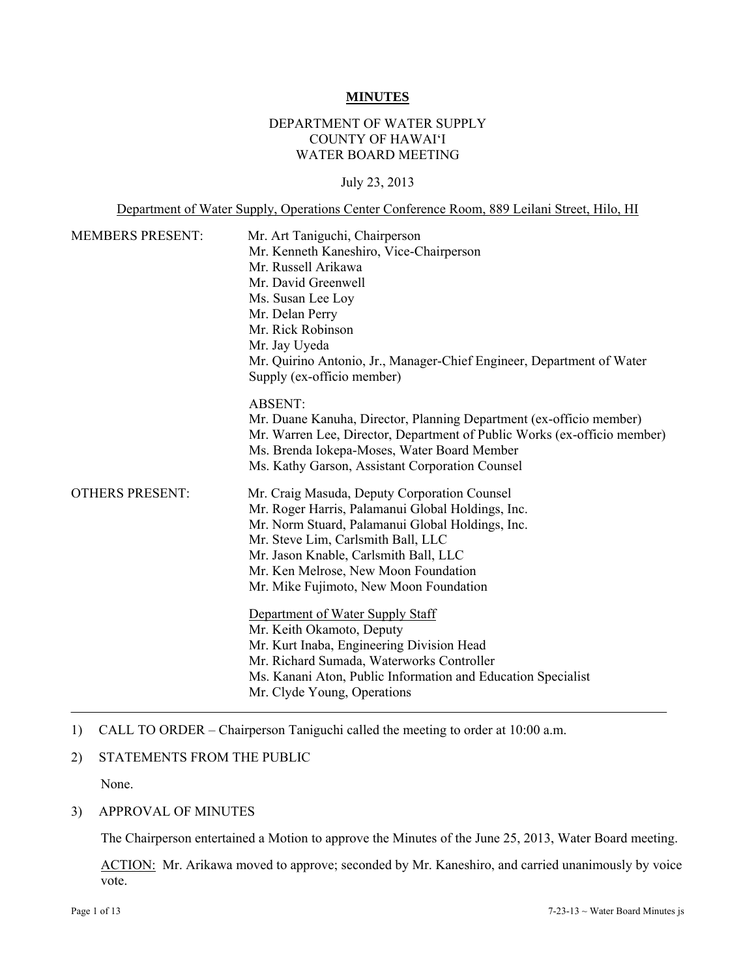#### **MINUTES**

# DEPARTMENT OF WATER SUPPLY COUNTY OF HAWAI'I WATER BOARD MEETING

#### July 23, 2013

Department of Water Supply, Operations Center Conference Room, 889 Leilani Street, Hilo, HI

| <b>MEMBERS PRESENT:</b> | Mr. Art Taniguchi, Chairperson<br>Mr. Kenneth Kaneshiro, Vice-Chairperson<br>Mr. Russell Arikawa<br>Mr. David Greenwell<br>Ms. Susan Lee Loy<br>Mr. Delan Perry<br>Mr. Rick Robinson<br>Mr. Jay Uyeda<br>Mr. Quirino Antonio, Jr., Manager-Chief Engineer, Department of Water<br>Supply (ex-officio member)           |
|-------------------------|------------------------------------------------------------------------------------------------------------------------------------------------------------------------------------------------------------------------------------------------------------------------------------------------------------------------|
|                         | <b>ABSENT:</b><br>Mr. Duane Kanuha, Director, Planning Department (ex-officio member)<br>Mr. Warren Lee, Director, Department of Public Works (ex-officio member)<br>Ms. Brenda Iokepa-Moses, Water Board Member<br>Ms. Kathy Garson, Assistant Corporation Counsel                                                    |
| <b>OTHERS PRESENT:</b>  | Mr. Craig Masuda, Deputy Corporation Counsel<br>Mr. Roger Harris, Palamanui Global Holdings, Inc.<br>Mr. Norm Stuard, Palamanui Global Holdings, Inc.<br>Mr. Steve Lim, Carlsmith Ball, LLC<br>Mr. Jason Knable, Carlsmith Ball, LLC<br>Mr. Ken Melrose, New Moon Foundation<br>Mr. Mike Fujimoto, New Moon Foundation |
|                         | Department of Water Supply Staff<br>Mr. Keith Okamoto, Deputy<br>Mr. Kurt Inaba, Engineering Division Head<br>Mr. Richard Sumada, Waterworks Controller<br>Ms. Kanani Aton, Public Information and Education Specialist<br>Mr. Clyde Young, Operations                                                                 |

1) CALL TO ORDER – Chairperson Taniguchi called the meeting to order at 10:00 a.m.

## 2) STATEMENTS FROM THE PUBLIC

None.

#### 3) APPROVAL OF MINUTES

The Chairperson entertained a Motion to approve the Minutes of the June 25, 2013, Water Board meeting.

ACTION: Mr. Arikawa moved to approve; seconded by Mr. Kaneshiro, and carried unanimously by voice vote.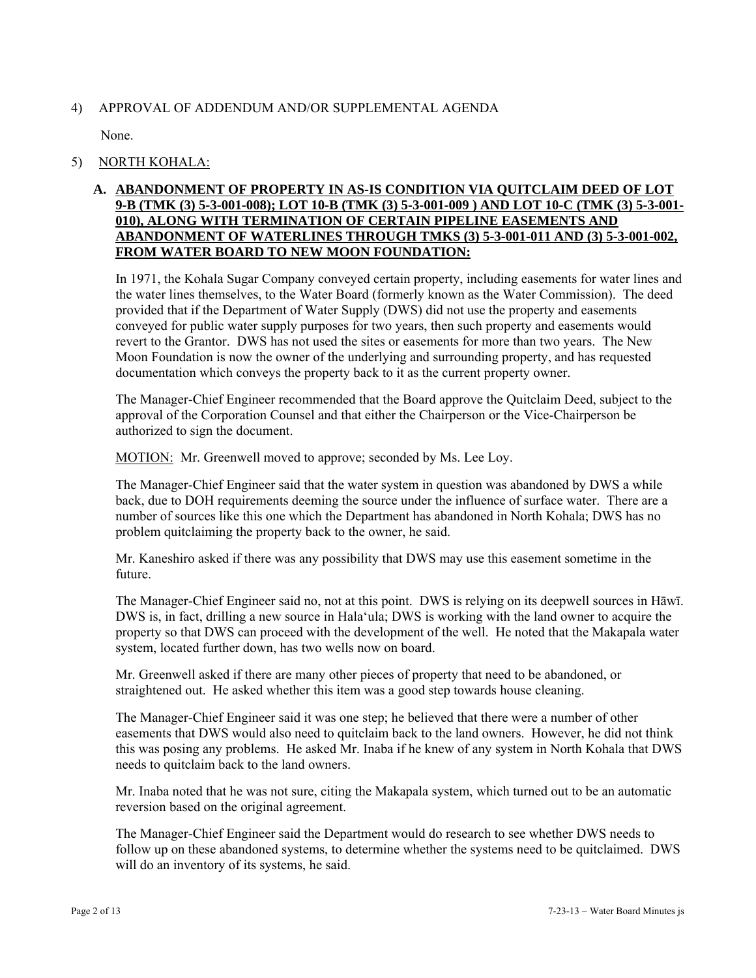# 4) APPROVAL OF ADDENDUM AND/OR SUPPLEMENTAL AGENDA

None.

# 5) NORTH KOHALA:

# **A. ABANDONMENT OF PROPERTY IN AS-IS CONDITION VIA QUITCLAIM DEED OF LOT 9-B (TMK (3) 5-3-001-008); LOT 10-B (TMK (3) 5-3-001-009 ) AND LOT 10-C (TMK (3) 5-3-001- 010), ALONG WITH TERMINATION OF CERTAIN PIPELINE EASEMENTS AND ABANDONMENT OF WATERLINES THROUGH TMKS (3) 5-3-001-011 AND (3) 5-3-001-002, FROM WATER BOARD TO NEW MOON FOUNDATION:**

In 1971, the Kohala Sugar Company conveyed certain property, including easements for water lines and the water lines themselves, to the Water Board (formerly known as the Water Commission). The deed provided that if the Department of Water Supply (DWS) did not use the property and easements conveyed for public water supply purposes for two years, then such property and easements would revert to the Grantor. DWS has not used the sites or easements for more than two years. The New Moon Foundation is now the owner of the underlying and surrounding property, and has requested documentation which conveys the property back to it as the current property owner.

The Manager-Chief Engineer recommended that the Board approve the Quitclaim Deed, subject to the approval of the Corporation Counsel and that either the Chairperson or the Vice-Chairperson be authorized to sign the document.

MOTION: Mr. Greenwell moved to approve; seconded by Ms. Lee Loy.

The Manager-Chief Engineer said that the water system in question was abandoned by DWS a while back, due to DOH requirements deeming the source under the influence of surface water. There are a number of sources like this one which the Department has abandoned in North Kohala; DWS has no problem quitclaiming the property back to the owner, he said.

Mr. Kaneshiro asked if there was any possibility that DWS may use this easement sometime in the future.

The Manager-Chief Engineer said no, not at this point. DWS is relying on its deepwell sources in Hāwī. DWS is, in fact, drilling a new source in Hala'ula; DWS is working with the land owner to acquire the property so that DWS can proceed with the development of the well. He noted that the Makapala water system, located further down, has two wells now on board.

Mr. Greenwell asked if there are many other pieces of property that need to be abandoned, or straightened out. He asked whether this item was a good step towards house cleaning.

The Manager-Chief Engineer said it was one step; he believed that there were a number of other easements that DWS would also need to quitclaim back to the land owners. However, he did not think this was posing any problems. He asked Mr. Inaba if he knew of any system in North Kohala that DWS needs to quitclaim back to the land owners.

Mr. Inaba noted that he was not sure, citing the Makapala system, which turned out to be an automatic reversion based on the original agreement.

The Manager-Chief Engineer said the Department would do research to see whether DWS needs to follow up on these abandoned systems, to determine whether the systems need to be quitclaimed. DWS will do an inventory of its systems, he said.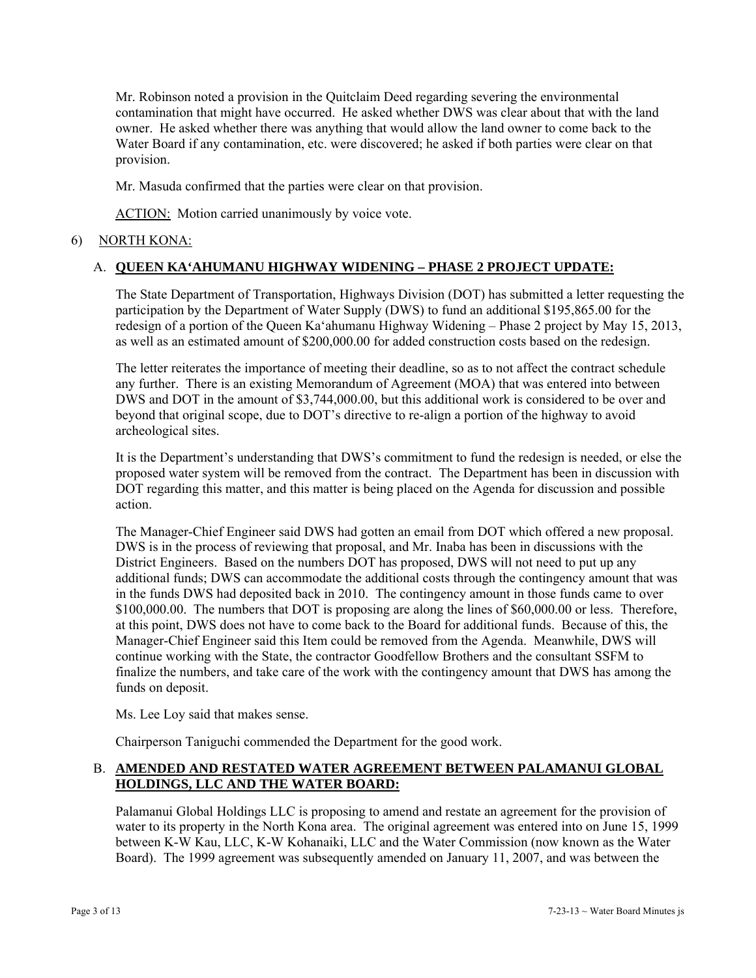Mr. Robinson noted a provision in the Quitclaim Deed regarding severing the environmental contamination that might have occurred. He asked whether DWS was clear about that with the land owner. He asked whether there was anything that would allow the land owner to come back to the Water Board if any contamination, etc. were discovered; he asked if both parties were clear on that provision.

Mr. Masuda confirmed that the parties were clear on that provision.

ACTION: Motion carried unanimously by voice vote.

# 6) NORTH KONA:

# A. **QUEEN KA'AHUMANU HIGHWAY WIDENING – PHASE 2 PROJECT UPDATE:**

The State Department of Transportation, Highways Division (DOT) has submitted a letter requesting the participation by the Department of Water Supply (DWS) to fund an additional \$195,865.00 for the redesign of a portion of the Queen Ka'ahumanu Highway Widening – Phase 2 project by May 15, 2013, as well as an estimated amount of \$200,000.00 for added construction costs based on the redesign.

The letter reiterates the importance of meeting their deadline, so as to not affect the contract schedule any further. There is an existing Memorandum of Agreement (MOA) that was entered into between DWS and DOT in the amount of \$3,744,000.00, but this additional work is considered to be over and beyond that original scope, due to DOT's directive to re-align a portion of the highway to avoid archeological sites.

It is the Department's understanding that DWS's commitment to fund the redesign is needed, or else the proposed water system will be removed from the contract. The Department has been in discussion with DOT regarding this matter, and this matter is being placed on the Agenda for discussion and possible action.

The Manager-Chief Engineer said DWS had gotten an email from DOT which offered a new proposal. DWS is in the process of reviewing that proposal, and Mr. Inaba has been in discussions with the District Engineers. Based on the numbers DOT has proposed, DWS will not need to put up any additional funds; DWS can accommodate the additional costs through the contingency amount that was in the funds DWS had deposited back in 2010. The contingency amount in those funds came to over \$100,000.00. The numbers that DOT is proposing are along the lines of \$60,000.00 or less. Therefore, at this point, DWS does not have to come back to the Board for additional funds. Because of this, the Manager-Chief Engineer said this Item could be removed from the Agenda. Meanwhile, DWS will continue working with the State, the contractor Goodfellow Brothers and the consultant SSFM to finalize the numbers, and take care of the work with the contingency amount that DWS has among the funds on deposit.

Ms. Lee Loy said that makes sense.

Chairperson Taniguchi commended the Department for the good work.

# B. **AMENDED AND RESTATED WATER AGREEMENT BETWEEN PALAMANUI GLOBAL HOLDINGS, LLC AND THE WATER BOARD:**

Palamanui Global Holdings LLC is proposing to amend and restate an agreement for the provision of water to its property in the North Kona area. The original agreement was entered into on June 15, 1999 between K-W Kau, LLC, K-W Kohanaiki, LLC and the Water Commission (now known as the Water Board). The 1999 agreement was subsequently amended on January 11, 2007, and was between the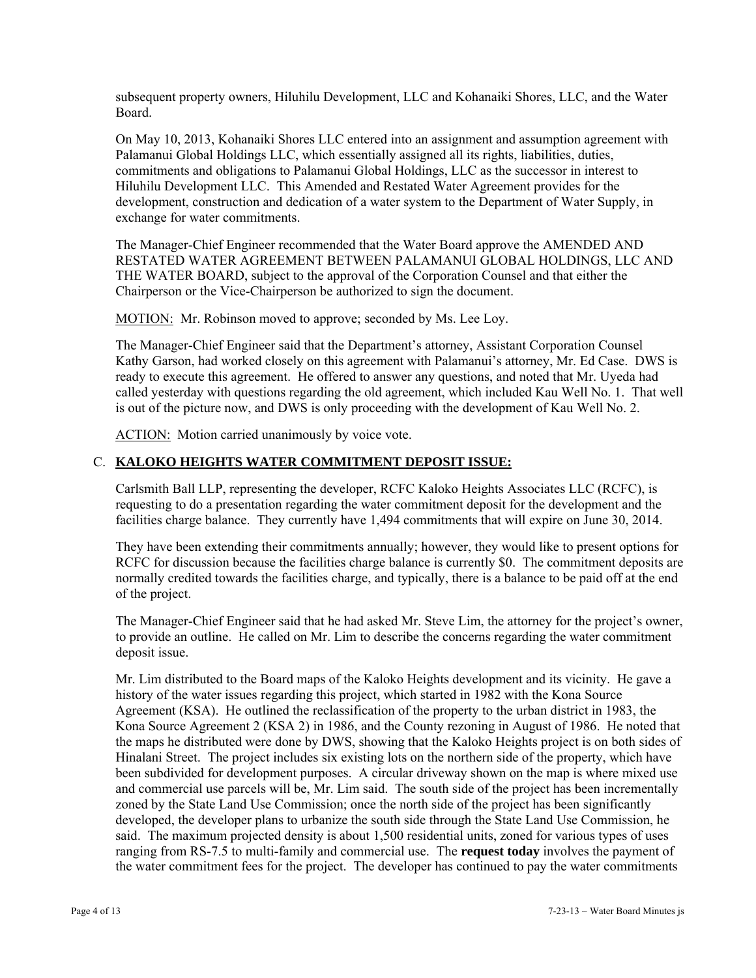subsequent property owners, Hiluhilu Development, LLC and Kohanaiki Shores, LLC, and the Water Board.

On May 10, 2013, Kohanaiki Shores LLC entered into an assignment and assumption agreement with Palamanui Global Holdings LLC, which essentially assigned all its rights, liabilities, duties, commitments and obligations to Palamanui Global Holdings, LLC as the successor in interest to Hiluhilu Development LLC. This Amended and Restated Water Agreement provides for the development, construction and dedication of a water system to the Department of Water Supply, in exchange for water commitments.

The Manager-Chief Engineer recommended that the Water Board approve the AMENDED AND RESTATED WATER AGREEMENT BETWEEN PALAMANUI GLOBAL HOLDINGS, LLC AND THE WATER BOARD, subject to the approval of the Corporation Counsel and that either the Chairperson or the Vice-Chairperson be authorized to sign the document.

MOTION: Mr. Robinson moved to approve; seconded by Ms. Lee Loy.

The Manager-Chief Engineer said that the Department's attorney, Assistant Corporation Counsel Kathy Garson, had worked closely on this agreement with Palamanui's attorney, Mr. Ed Case. DWS is ready to execute this agreement. He offered to answer any questions, and noted that Mr. Uyeda had called yesterday with questions regarding the old agreement, which included Kau Well No. 1. That well is out of the picture now, and DWS is only proceeding with the development of Kau Well No. 2.

ACTION: Motion carried unanimously by voice vote.

# C. **KALOKO HEIGHTS WATER COMMITMENT DEPOSIT ISSUE:**

Carlsmith Ball LLP, representing the developer, RCFC Kaloko Heights Associates LLC (RCFC), is requesting to do a presentation regarding the water commitment deposit for the development and the facilities charge balance. They currently have 1,494 commitments that will expire on June 30, 2014.

They have been extending their commitments annually; however, they would like to present options for RCFC for discussion because the facilities charge balance is currently \$0. The commitment deposits are normally credited towards the facilities charge, and typically, there is a balance to be paid off at the end of the project.

The Manager-Chief Engineer said that he had asked Mr. Steve Lim, the attorney for the project's owner, to provide an outline. He called on Mr. Lim to describe the concerns regarding the water commitment deposit issue.

Mr. Lim distributed to the Board maps of the Kaloko Heights development and its vicinity. He gave a history of the water issues regarding this project, which started in 1982 with the Kona Source Agreement (KSA). He outlined the reclassification of the property to the urban district in 1983, the Kona Source Agreement 2 (KSA 2) in 1986, and the County rezoning in August of 1986. He noted that the maps he distributed were done by DWS, showing that the Kaloko Heights project is on both sides of Hinalani Street. The project includes six existing lots on the northern side of the property, which have been subdivided for development purposes. A circular driveway shown on the map is where mixed use and commercial use parcels will be, Mr. Lim said. The south side of the project has been incrementally zoned by the State Land Use Commission; once the north side of the project has been significantly developed, the developer plans to urbanize the south side through the State Land Use Commission, he said. The maximum projected density is about 1,500 residential units, zoned for various types of uses ranging from RS-7.5 to multi-family and commercial use. The **request today** involves the payment of the water commitment fees for the project. The developer has continued to pay the water commitments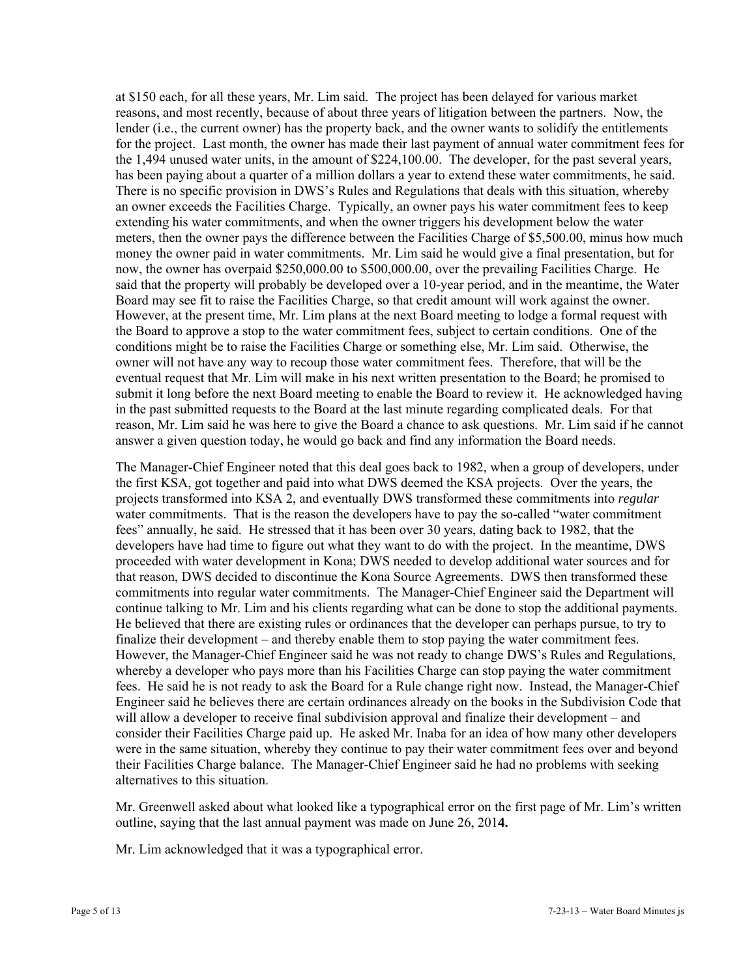at \$150 each, for all these years, Mr. Lim said. The project has been delayed for various market reasons, and most recently, because of about three years of litigation between the partners. Now, the lender (i.e., the current owner) has the property back, and the owner wants to solidify the entitlements for the project. Last month, the owner has made their last payment of annual water commitment fees for the 1,494 unused water units, in the amount of \$224,100.00. The developer, for the past several years, has been paying about a quarter of a million dollars a year to extend these water commitments, he said. There is no specific provision in DWS's Rules and Regulations that deals with this situation, whereby an owner exceeds the Facilities Charge. Typically, an owner pays his water commitment fees to keep extending his water commitments, and when the owner triggers his development below the water meters, then the owner pays the difference between the Facilities Charge of \$5,500.00, minus how much money the owner paid in water commitments. Mr. Lim said he would give a final presentation, but for now, the owner has overpaid \$250,000.00 to \$500,000.00, over the prevailing Facilities Charge. He said that the property will probably be developed over a 10-year period, and in the meantime, the Water Board may see fit to raise the Facilities Charge, so that credit amount will work against the owner. However, at the present time, Mr. Lim plans at the next Board meeting to lodge a formal request with the Board to approve a stop to the water commitment fees, subject to certain conditions. One of the conditions might be to raise the Facilities Charge or something else, Mr. Lim said. Otherwise, the owner will not have any way to recoup those water commitment fees. Therefore, that will be the eventual request that Mr. Lim will make in his next written presentation to the Board; he promised to submit it long before the next Board meeting to enable the Board to review it. He acknowledged having in the past submitted requests to the Board at the last minute regarding complicated deals. For that reason, Mr. Lim said he was here to give the Board a chance to ask questions. Mr. Lim said if he cannot answer a given question today, he would go back and find any information the Board needs.

The Manager-Chief Engineer noted that this deal goes back to 1982, when a group of developers, under the first KSA, got together and paid into what DWS deemed the KSA projects. Over the years, the projects transformed into KSA 2, and eventually DWS transformed these commitments into *regular* water commitments. That is the reason the developers have to pay the so-called "water commitment fees" annually, he said. He stressed that it has been over 30 years, dating back to 1982, that the developers have had time to figure out what they want to do with the project. In the meantime, DWS proceeded with water development in Kona; DWS needed to develop additional water sources and for that reason, DWS decided to discontinue the Kona Source Agreements. DWS then transformed these commitments into regular water commitments. The Manager-Chief Engineer said the Department will continue talking to Mr. Lim and his clients regarding what can be done to stop the additional payments. He believed that there are existing rules or ordinances that the developer can perhaps pursue, to try to finalize their development – and thereby enable them to stop paying the water commitment fees. However, the Manager-Chief Engineer said he was not ready to change DWS's Rules and Regulations, whereby a developer who pays more than his Facilities Charge can stop paying the water commitment fees. He said he is not ready to ask the Board for a Rule change right now. Instead, the Manager-Chief Engineer said he believes there are certain ordinances already on the books in the Subdivision Code that will allow a developer to receive final subdivision approval and finalize their development – and consider their Facilities Charge paid up. He asked Mr. Inaba for an idea of how many other developers were in the same situation, whereby they continue to pay their water commitment fees over and beyond their Facilities Charge balance. The Manager-Chief Engineer said he had no problems with seeking alternatives to this situation.

Mr. Greenwell asked about what looked like a typographical error on the first page of Mr. Lim's written outline, saying that the last annual payment was made on June 26, 201**4.** 

Mr. Lim acknowledged that it was a typographical error.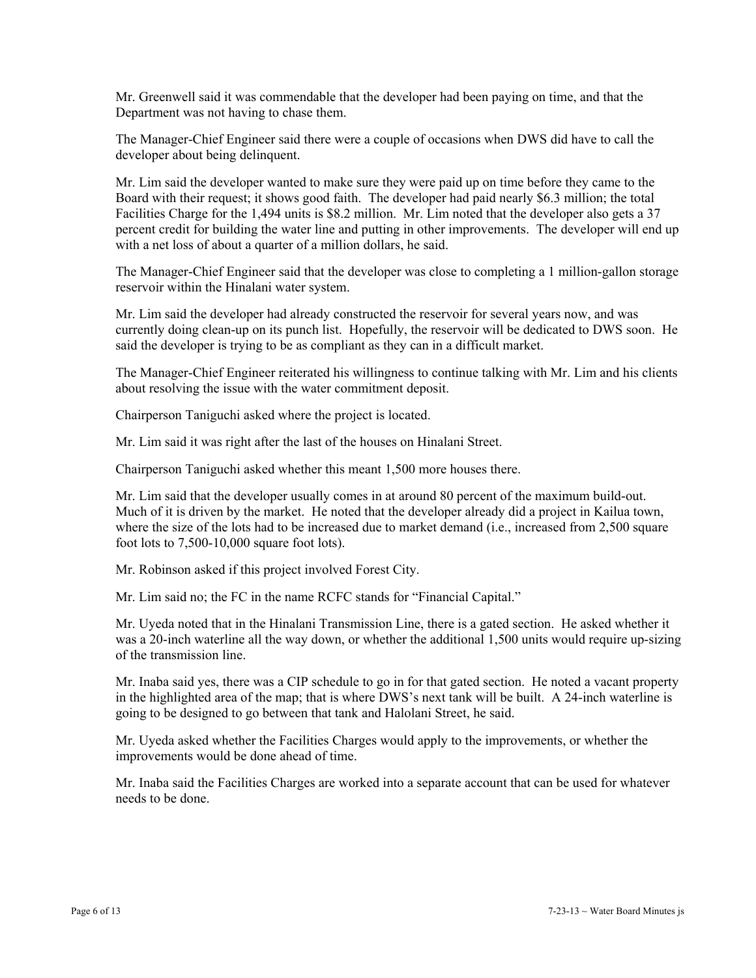Mr. Greenwell said it was commendable that the developer had been paying on time, and that the Department was not having to chase them.

The Manager-Chief Engineer said there were a couple of occasions when DWS did have to call the developer about being delinquent.

Mr. Lim said the developer wanted to make sure they were paid up on time before they came to the Board with their request; it shows good faith. The developer had paid nearly \$6.3 million; the total Facilities Charge for the 1,494 units is \$8.2 million. Mr. Lim noted that the developer also gets a 37 percent credit for building the water line and putting in other improvements. The developer will end up with a net loss of about a quarter of a million dollars, he said.

The Manager-Chief Engineer said that the developer was close to completing a 1 million-gallon storage reservoir within the Hinalani water system.

Mr. Lim said the developer had already constructed the reservoir for several years now, and was currently doing clean-up on its punch list. Hopefully, the reservoir will be dedicated to DWS soon. He said the developer is trying to be as compliant as they can in a difficult market.

The Manager-Chief Engineer reiterated his willingness to continue talking with Mr. Lim and his clients about resolving the issue with the water commitment deposit.

Chairperson Taniguchi asked where the project is located.

Mr. Lim said it was right after the last of the houses on Hinalani Street.

Chairperson Taniguchi asked whether this meant 1,500 more houses there.

Mr. Lim said that the developer usually comes in at around 80 percent of the maximum build-out. Much of it is driven by the market. He noted that the developer already did a project in Kailua town, where the size of the lots had to be increased due to market demand (i.e., increased from 2,500 square foot lots to 7,500-10,000 square foot lots).

Mr. Robinson asked if this project involved Forest City.

Mr. Lim said no; the FC in the name RCFC stands for "Financial Capital."

Mr. Uyeda noted that in the Hinalani Transmission Line, there is a gated section. He asked whether it was a 20-inch waterline all the way down, or whether the additional 1,500 units would require up-sizing of the transmission line.

Mr. Inaba said yes, there was a CIP schedule to go in for that gated section. He noted a vacant property in the highlighted area of the map; that is where DWS's next tank will be built. A 24-inch waterline is going to be designed to go between that tank and Halolani Street, he said.

Mr. Uyeda asked whether the Facilities Charges would apply to the improvements, or whether the improvements would be done ahead of time.

Mr. Inaba said the Facilities Charges are worked into a separate account that can be used for whatever needs to be done.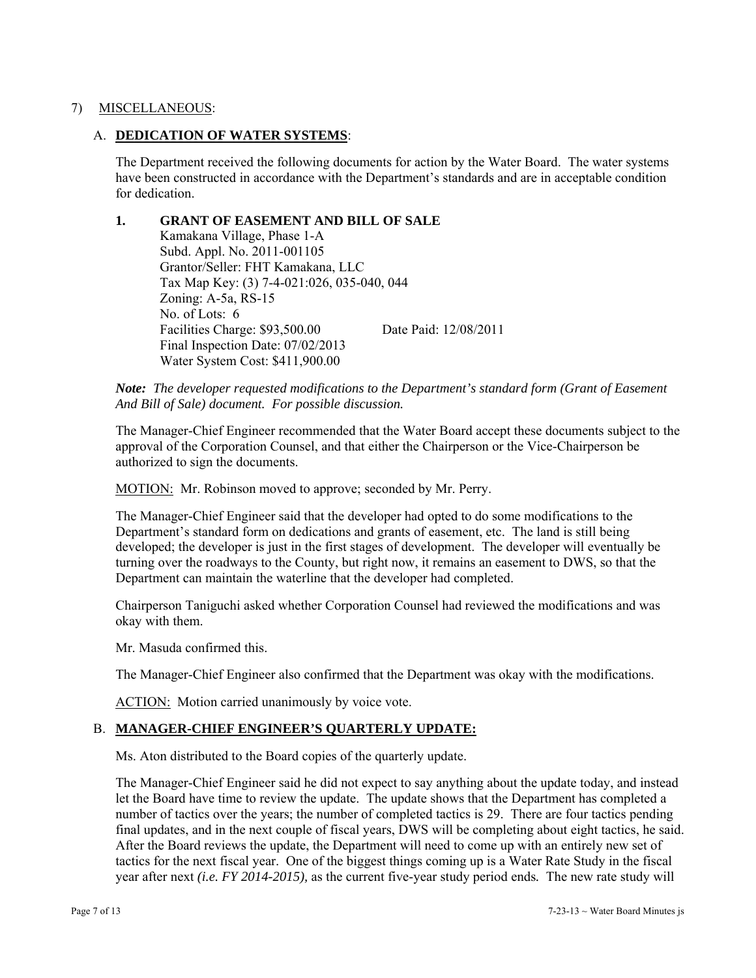# 7) MISCELLANEOUS:

## A. **DEDICATION OF WATER SYSTEMS**:

The Department received the following documents for action by the Water Board. The water systems have been constructed in accordance with the Department's standards and are in acceptable condition for dedication.

# **1. GRANT OF EASEMENT AND BILL OF SALE**

 Kamakana Village, Phase 1-A Subd. Appl. No. 2011-001105 Grantor/Seller: FHT Kamakana, LLC Tax Map Key: (3) 7-4-021:026, 035-040, 044 Zoning: A-5a, RS-15 No. of Lots: 6 Facilities Charge: \$93,500.00 Date Paid: 12/08/2011 Final Inspection Date: 07/02/2013 Water System Cost: \$411,900.00

*Note: The developer requested modifications to the Department's standard form (Grant of Easement And Bill of Sale) document. For possible discussion.* 

The Manager-Chief Engineer recommended that the Water Board accept these documents subject to the approval of the Corporation Counsel, and that either the Chairperson or the Vice-Chairperson be authorized to sign the documents.

MOTION: Mr. Robinson moved to approve; seconded by Mr. Perry.

The Manager-Chief Engineer said that the developer had opted to do some modifications to the Department's standard form on dedications and grants of easement, etc. The land is still being developed; the developer is just in the first stages of development. The developer will eventually be turning over the roadways to the County, but right now, it remains an easement to DWS, so that the Department can maintain the waterline that the developer had completed.

Chairperson Taniguchi asked whether Corporation Counsel had reviewed the modifications and was okay with them.

Mr. Masuda confirmed this.

The Manager-Chief Engineer also confirmed that the Department was okay with the modifications.

ACTION: Motion carried unanimously by voice vote.

## B. **MANAGER-CHIEF ENGINEER'S QUARTERLY UPDATE:**

Ms. Aton distributed to the Board copies of the quarterly update.

The Manager-Chief Engineer said he did not expect to say anything about the update today, and instead let the Board have time to review the update. The update shows that the Department has completed a number of tactics over the years; the number of completed tactics is 29. There are four tactics pending final updates, and in the next couple of fiscal years, DWS will be completing about eight tactics, he said. After the Board reviews the update, the Department will need to come up with an entirely new set of tactics for the next fiscal year. One of the biggest things coming up is a Water Rate Study in the fiscal year after next *(i.e. FY 2014-2015),* as the current five-year study period ends*.* The new rate study will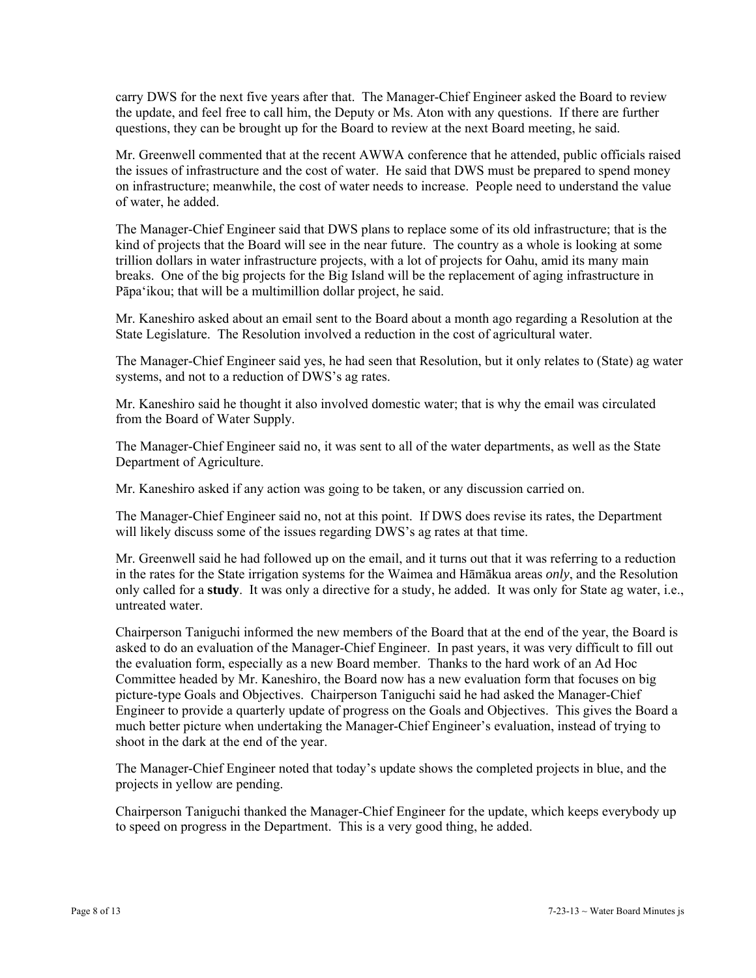carry DWS for the next five years after that. The Manager-Chief Engineer asked the Board to review the update, and feel free to call him, the Deputy or Ms. Aton with any questions. If there are further questions, they can be brought up for the Board to review at the next Board meeting, he said.

Mr. Greenwell commented that at the recent AWWA conference that he attended, public officials raised the issues of infrastructure and the cost of water. He said that DWS must be prepared to spend money on infrastructure; meanwhile, the cost of water needs to increase. People need to understand the value of water, he added.

The Manager-Chief Engineer said that DWS plans to replace some of its old infrastructure; that is the kind of projects that the Board will see in the near future. The country as a whole is looking at some trillion dollars in water infrastructure projects, with a lot of projects for Oahu, amid its many main breaks. One of the big projects for the Big Island will be the replacement of aging infrastructure in Pāpa'ikou; that will be a multimillion dollar project, he said.

Mr. Kaneshiro asked about an email sent to the Board about a month ago regarding a Resolution at the State Legislature. The Resolution involved a reduction in the cost of agricultural water.

The Manager-Chief Engineer said yes, he had seen that Resolution, but it only relates to (State) ag water systems, and not to a reduction of DWS's ag rates.

Mr. Kaneshiro said he thought it also involved domestic water; that is why the email was circulated from the Board of Water Supply.

The Manager-Chief Engineer said no, it was sent to all of the water departments, as well as the State Department of Agriculture.

Mr. Kaneshiro asked if any action was going to be taken, or any discussion carried on.

The Manager-Chief Engineer said no, not at this point. If DWS does revise its rates, the Department will likely discuss some of the issues regarding DWS's ag rates at that time.

Mr. Greenwell said he had followed up on the email, and it turns out that it was referring to a reduction in the rates for the State irrigation systems for the Waimea and Hāmākua areas *only*, and the Resolution only called for a **study**. It was only a directive for a study, he added. It was only for State ag water, i.e., untreated water.

Chairperson Taniguchi informed the new members of the Board that at the end of the year, the Board is asked to do an evaluation of the Manager-Chief Engineer. In past years, it was very difficult to fill out the evaluation form, especially as a new Board member. Thanks to the hard work of an Ad Hoc Committee headed by Mr. Kaneshiro, the Board now has a new evaluation form that focuses on big picture-type Goals and Objectives. Chairperson Taniguchi said he had asked the Manager-Chief Engineer to provide a quarterly update of progress on the Goals and Objectives. This gives the Board a much better picture when undertaking the Manager-Chief Engineer's evaluation, instead of trying to shoot in the dark at the end of the year.

The Manager-Chief Engineer noted that today's update shows the completed projects in blue, and the projects in yellow are pending.

Chairperson Taniguchi thanked the Manager-Chief Engineer for the update, which keeps everybody up to speed on progress in the Department. This is a very good thing, he added.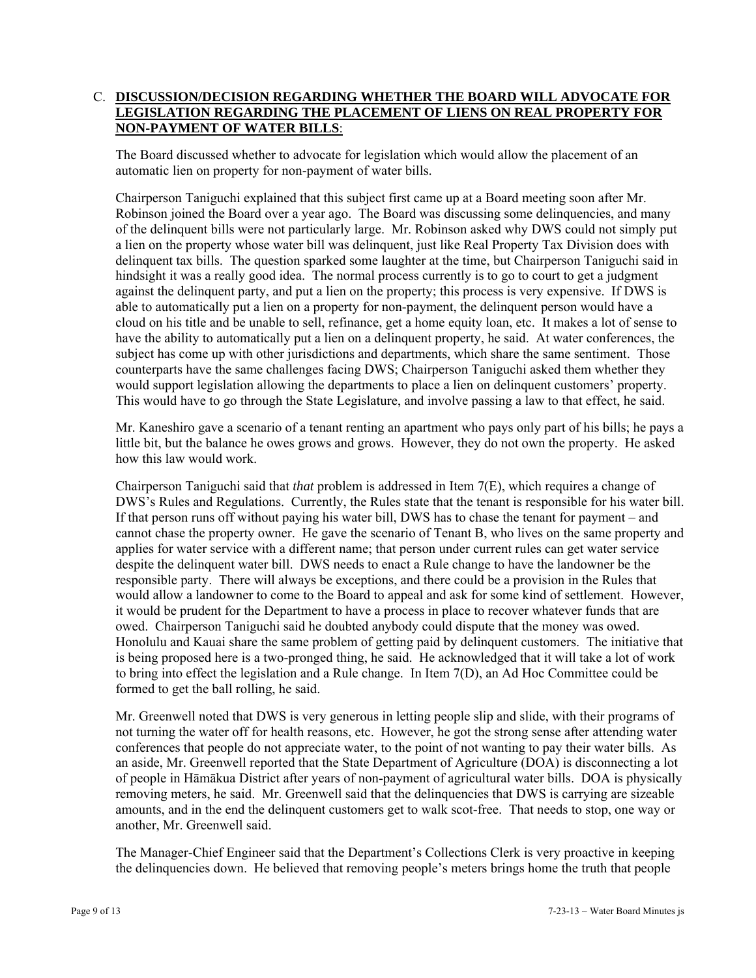# C. **DISCUSSION/DECISION REGARDING WHETHER THE BOARD WILL ADVOCATE FOR LEGISLATION REGARDING THE PLACEMENT OF LIENS ON REAL PROPERTY FOR NON-PAYMENT OF WATER BILLS**:

The Board discussed whether to advocate for legislation which would allow the placement of an automatic lien on property for non-payment of water bills.

Chairperson Taniguchi explained that this subject first came up at a Board meeting soon after Mr. Robinson joined the Board over a year ago. The Board was discussing some delinquencies, and many of the delinquent bills were not particularly large. Mr. Robinson asked why DWS could not simply put a lien on the property whose water bill was delinquent, just like Real Property Tax Division does with delinquent tax bills. The question sparked some laughter at the time, but Chairperson Taniguchi said in hindsight it was a really good idea. The normal process currently is to go to court to get a judgment against the delinquent party, and put a lien on the property; this process is very expensive. If DWS is able to automatically put a lien on a property for non-payment, the delinquent person would have a cloud on his title and be unable to sell, refinance, get a home equity loan, etc. It makes a lot of sense to have the ability to automatically put a lien on a delinquent property, he said. At water conferences, the subject has come up with other jurisdictions and departments, which share the same sentiment. Those counterparts have the same challenges facing DWS; Chairperson Taniguchi asked them whether they would support legislation allowing the departments to place a lien on delinquent customers' property. This would have to go through the State Legislature, and involve passing a law to that effect, he said.

Mr. Kaneshiro gave a scenario of a tenant renting an apartment who pays only part of his bills; he pays a little bit, but the balance he owes grows and grows. However, they do not own the property. He asked how this law would work.

Chairperson Taniguchi said that *that* problem is addressed in Item 7(E), which requires a change of DWS's Rules and Regulations. Currently, the Rules state that the tenant is responsible for his water bill. If that person runs off without paying his water bill, DWS has to chase the tenant for payment – and cannot chase the property owner. He gave the scenario of Tenant B, who lives on the same property and applies for water service with a different name; that person under current rules can get water service despite the delinquent water bill. DWS needs to enact a Rule change to have the landowner be the responsible party. There will always be exceptions, and there could be a provision in the Rules that would allow a landowner to come to the Board to appeal and ask for some kind of settlement. However, it would be prudent for the Department to have a process in place to recover whatever funds that are owed. Chairperson Taniguchi said he doubted anybody could dispute that the money was owed. Honolulu and Kauai share the same problem of getting paid by delinquent customers. The initiative that is being proposed here is a two-pronged thing, he said. He acknowledged that it will take a lot of work to bring into effect the legislation and a Rule change. In Item 7(D), an Ad Hoc Committee could be formed to get the ball rolling, he said.

Mr. Greenwell noted that DWS is very generous in letting people slip and slide, with their programs of not turning the water off for health reasons, etc. However, he got the strong sense after attending water conferences that people do not appreciate water, to the point of not wanting to pay their water bills. As an aside, Mr. Greenwell reported that the State Department of Agriculture (DOA) is disconnecting a lot of people in Hāmākua District after years of non-payment of agricultural water bills. DOA is physically removing meters, he said. Mr. Greenwell said that the delinquencies that DWS is carrying are sizeable amounts, and in the end the delinquent customers get to walk scot-free. That needs to stop, one way or another, Mr. Greenwell said.

The Manager-Chief Engineer said that the Department's Collections Clerk is very proactive in keeping the delinquencies down. He believed that removing people's meters brings home the truth that people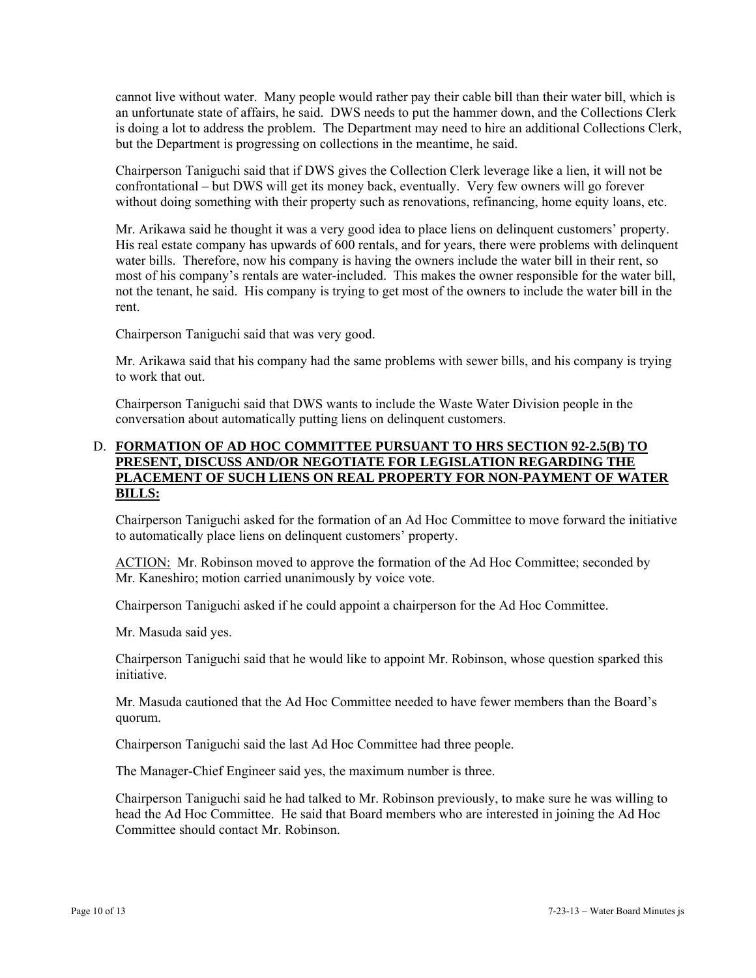cannot live without water. Many people would rather pay their cable bill than their water bill, which is an unfortunate state of affairs, he said. DWS needs to put the hammer down, and the Collections Clerk is doing a lot to address the problem. The Department may need to hire an additional Collections Clerk, but the Department is progressing on collections in the meantime, he said.

Chairperson Taniguchi said that if DWS gives the Collection Clerk leverage like a lien, it will not be confrontational – but DWS will get its money back, eventually. Very few owners will go forever without doing something with their property such as renovations, refinancing, home equity loans, etc.

Mr. Arikawa said he thought it was a very good idea to place liens on delinquent customers' property. His real estate company has upwards of 600 rentals, and for years, there were problems with delinquent water bills. Therefore, now his company is having the owners include the water bill in their rent, so most of his company's rentals are water-included. This makes the owner responsible for the water bill, not the tenant, he said. His company is trying to get most of the owners to include the water bill in the rent.

Chairperson Taniguchi said that was very good.

Mr. Arikawa said that his company had the same problems with sewer bills, and his company is trying to work that out.

Chairperson Taniguchi said that DWS wants to include the Waste Water Division people in the conversation about automatically putting liens on delinquent customers.

# D. **FORMATION OF AD HOC COMMITTEE PURSUANT TO HRS SECTION 92-2.5(B) TO PRESENT, DISCUSS AND/OR NEGOTIATE FOR LEGISLATION REGARDING THE PLACEMENT OF SUCH LIENS ON REAL PROPERTY FOR NON-PAYMENT OF WATER BILLS:**

Chairperson Taniguchi asked for the formation of an Ad Hoc Committee to move forward the initiative to automatically place liens on delinquent customers' property.

ACTION: Mr. Robinson moved to approve the formation of the Ad Hoc Committee; seconded by Mr. Kaneshiro; motion carried unanimously by voice vote.

Chairperson Taniguchi asked if he could appoint a chairperson for the Ad Hoc Committee.

Mr. Masuda said yes.

Chairperson Taniguchi said that he would like to appoint Mr. Robinson, whose question sparked this initiative.

Mr. Masuda cautioned that the Ad Hoc Committee needed to have fewer members than the Board's quorum.

Chairperson Taniguchi said the last Ad Hoc Committee had three people.

The Manager-Chief Engineer said yes, the maximum number is three.

Chairperson Taniguchi said he had talked to Mr. Robinson previously, to make sure he was willing to head the Ad Hoc Committee. He said that Board members who are interested in joining the Ad Hoc Committee should contact Mr. Robinson.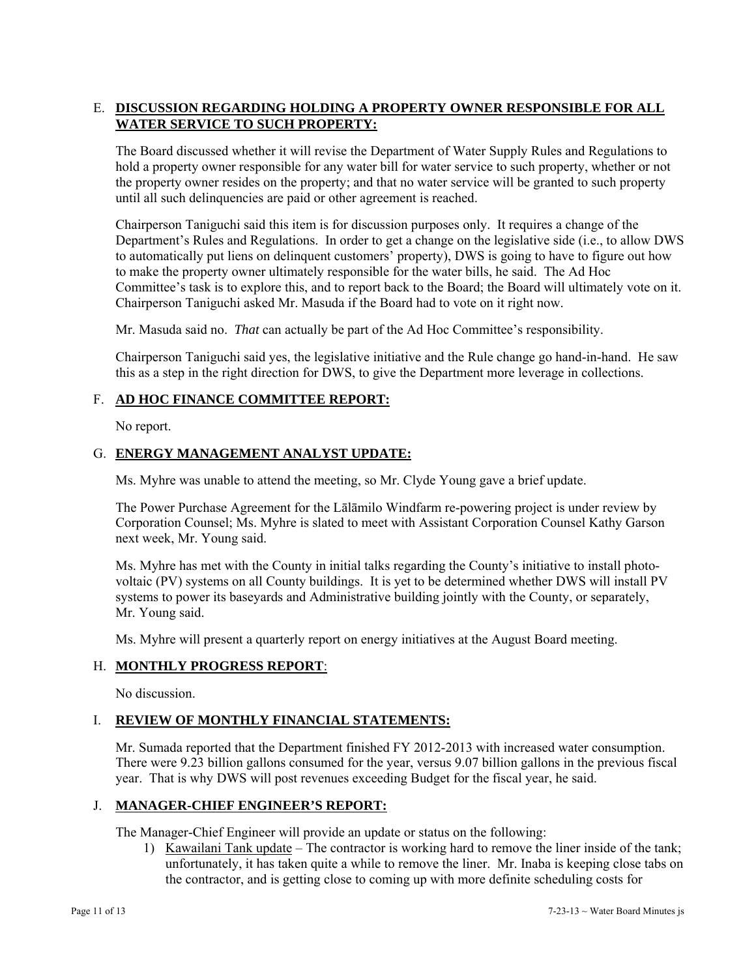# E. **DISCUSSION REGARDING HOLDING A PROPERTY OWNER RESPONSIBLE FOR ALL WATER SERVICE TO SUCH PROPERTY:**

The Board discussed whether it will revise the Department of Water Supply Rules and Regulations to hold a property owner responsible for any water bill for water service to such property, whether or not the property owner resides on the property; and that no water service will be granted to such property until all such delinquencies are paid or other agreement is reached.

Chairperson Taniguchi said this item is for discussion purposes only. It requires a change of the Department's Rules and Regulations. In order to get a change on the legislative side (i.e., to allow DWS to automatically put liens on delinquent customers' property), DWS is going to have to figure out how to make the property owner ultimately responsible for the water bills, he said. The Ad Hoc Committee's task is to explore this, and to report back to the Board; the Board will ultimately vote on it. Chairperson Taniguchi asked Mr. Masuda if the Board had to vote on it right now.

Mr. Masuda said no. *That* can actually be part of the Ad Hoc Committee's responsibility.

Chairperson Taniguchi said yes, the legislative initiative and the Rule change go hand-in-hand. He saw this as a step in the right direction for DWS, to give the Department more leverage in collections.

## F. **AD HOC FINANCE COMMITTEE REPORT:**

No report.

## G. **ENERGY MANAGEMENT ANALYST UPDATE:**

Ms. Myhre was unable to attend the meeting, so Mr. Clyde Young gave a brief update.

The Power Purchase Agreement for the Lālāmilo Windfarm re-powering project is under review by Corporation Counsel; Ms. Myhre is slated to meet with Assistant Corporation Counsel Kathy Garson next week, Mr. Young said.

Ms. Myhre has met with the County in initial talks regarding the County's initiative to install photovoltaic (PV) systems on all County buildings. It is yet to be determined whether DWS will install PV systems to power its baseyards and Administrative building jointly with the County, or separately, Mr. Young said.

Ms. Myhre will present a quarterly report on energy initiatives at the August Board meeting.

## H. **MONTHLY PROGRESS REPORT**:

No discussion.

# I. **REVIEW OF MONTHLY FINANCIAL STATEMENTS:**

Mr. Sumada reported that the Department finished FY 2012-2013 with increased water consumption. There were 9.23 billion gallons consumed for the year, versus 9.07 billion gallons in the previous fiscal year. That is why DWS will post revenues exceeding Budget for the fiscal year, he said.

## J. **MANAGER-CHIEF ENGINEER'S REPORT:**

The Manager-Chief Engineer will provide an update or status on the following:

1) Kawailani Tank update – The contractor is working hard to remove the liner inside of the tank; unfortunately, it has taken quite a while to remove the liner. Mr. Inaba is keeping close tabs on the contractor, and is getting close to coming up with more definite scheduling costs for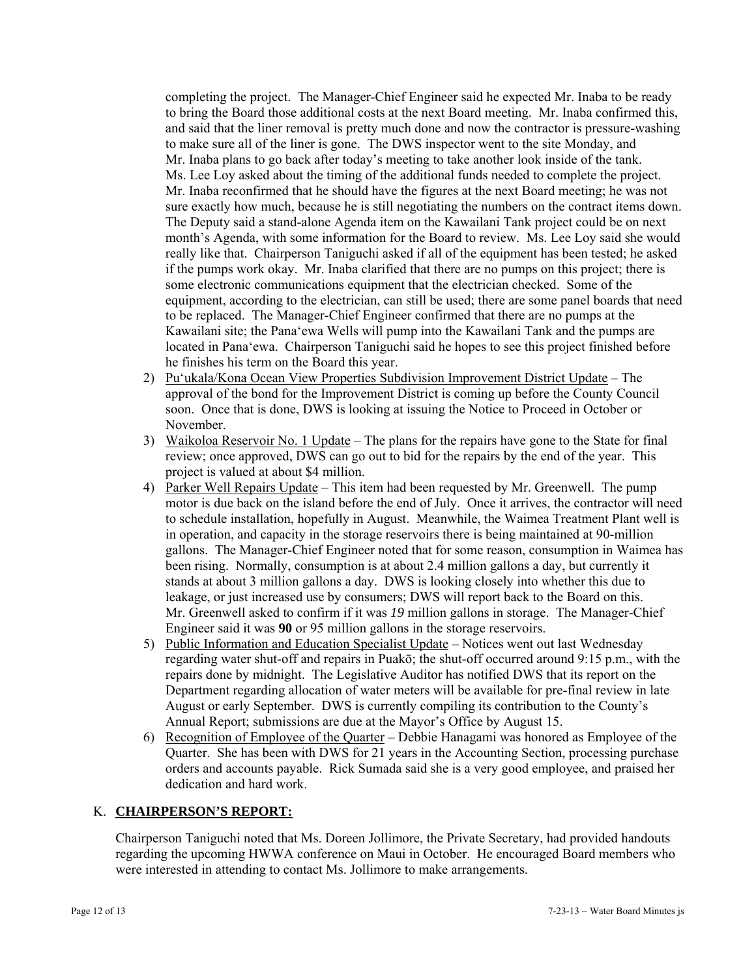completing the project. The Manager-Chief Engineer said he expected Mr. Inaba to be ready to bring the Board those additional costs at the next Board meeting. Mr. Inaba confirmed this, and said that the liner removal is pretty much done and now the contractor is pressure-washing to make sure all of the liner is gone. The DWS inspector went to the site Monday, and Mr. Inaba plans to go back after today's meeting to take another look inside of the tank. Ms. Lee Loy asked about the timing of the additional funds needed to complete the project. Mr. Inaba reconfirmed that he should have the figures at the next Board meeting; he was not sure exactly how much, because he is still negotiating the numbers on the contract items down. The Deputy said a stand-alone Agenda item on the Kawailani Tank project could be on next month's Agenda, with some information for the Board to review. Ms. Lee Loy said she would really like that. Chairperson Taniguchi asked if all of the equipment has been tested; he asked if the pumps work okay. Mr. Inaba clarified that there are no pumps on this project; there is some electronic communications equipment that the electrician checked. Some of the equipment, according to the electrician, can still be used; there are some panel boards that need to be replaced. The Manager-Chief Engineer confirmed that there are no pumps at the Kawailani site; the Pana'ewa Wells will pump into the Kawailani Tank and the pumps are located in Pana'ewa. Chairperson Taniguchi said he hopes to see this project finished before he finishes his term on the Board this year.

- 2) Pu'ukala/Kona Ocean View Properties Subdivision Improvement District Update The approval of the bond for the Improvement District is coming up before the County Council soon. Once that is done, DWS is looking at issuing the Notice to Proceed in October or November.
- 3) Waikoloa Reservoir No. 1 Update The plans for the repairs have gone to the State for final review; once approved, DWS can go out to bid for the repairs by the end of the year. This project is valued at about \$4 million.
- 4) Parker Well Repairs Update This item had been requested by Mr. Greenwell. The pump motor is due back on the island before the end of July. Once it arrives, the contractor will need to schedule installation, hopefully in August. Meanwhile, the Waimea Treatment Plant well is in operation, and capacity in the storage reservoirs there is being maintained at 90-million gallons. The Manager-Chief Engineer noted that for some reason, consumption in Waimea has been rising. Normally, consumption is at about 2.4 million gallons a day, but currently it stands at about 3 million gallons a day. DWS is looking closely into whether this due to leakage, or just increased use by consumers; DWS will report back to the Board on this. Mr. Greenwell asked to confirm if it was *19* million gallons in storage.The Manager-Chief Engineer said it was **90** or 95 million gallons in the storage reservoirs.
- 5) Public Information and Education Specialist Update Notices went out last Wednesday regarding water shut-off and repairs in Puakō; the shut-off occurred around 9:15 p.m., with the repairs done by midnight. The Legislative Auditor has notified DWS that its report on the Department regarding allocation of water meters will be available for pre-final review in late August or early September. DWS is currently compiling its contribution to the County's Annual Report; submissions are due at the Mayor's Office by August 15.
- 6) Recognition of Employee of the Quarter Debbie Hanagami was honored as Employee of the Quarter. She has been with DWS for 21 years in the Accounting Section, processing purchase orders and accounts payable. Rick Sumada said she is a very good employee, and praised her dedication and hard work.

# K. **CHAIRPERSON'S REPORT:**

Chairperson Taniguchi noted that Ms. Doreen Jollimore, the Private Secretary, had provided handouts regarding the upcoming HWWA conference on Maui in October. He encouraged Board members who were interested in attending to contact Ms. Jollimore to make arrangements.